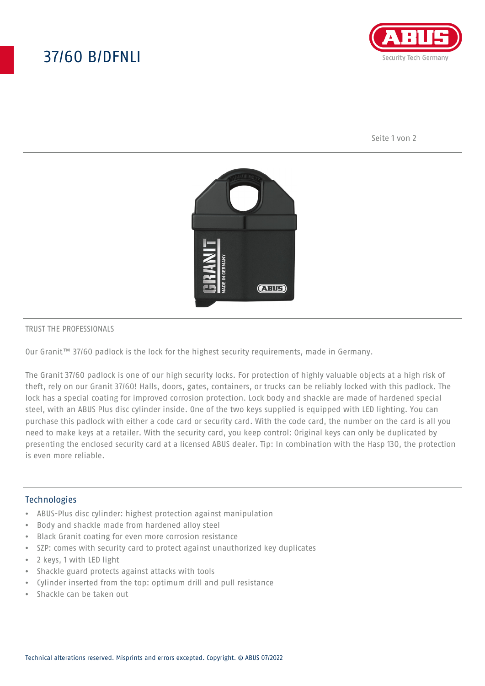# 37/60 B/DFNLI



Seite 1 von 2



#### TRUST THE PROFESSIONALS

Our Granit™ 37/60 padlock is the lock for the highest security requirements, made in Germany.

The Granit 37/60 padlock is one of our high security locks. For protection of highly valuable objects at a high risk of theft, rely on our Granit 37/60! Halls, doors, gates, containers, or trucks can be reliably locked with this padlock. The lock has a special coating for improved corrosion protection. Lock body and shackle are made of hardened special steel, with an ABUS Plus disc cylinder inside. One of the two keys supplied is equipped with LED lighting. You can purchase this padlock with either a code card or security card. With the code card, the number on the card is all you need to make keys at a retailer. With the security card, you keep control: Original keys can only be duplicated by presenting the enclosed security card at a licensed ABUS dealer. Tip: In combination with the Hasp 130, the protection is even more reliable.

### **Technologies**

- ABUS-Plus disc cylinder: highest protection against manipulation
- Body and shackle made from hardened alloy steel
- Black Granit coating for even more corrosion resistance
- SZP: comes with security card to protect against unauthorized key duplicates
- 2 keys, 1 with LED light
- Shackle guard protects against attacks with tools
- Cylinder inserted from the top: optimum drill and pull resistance
- Shackle can be taken out